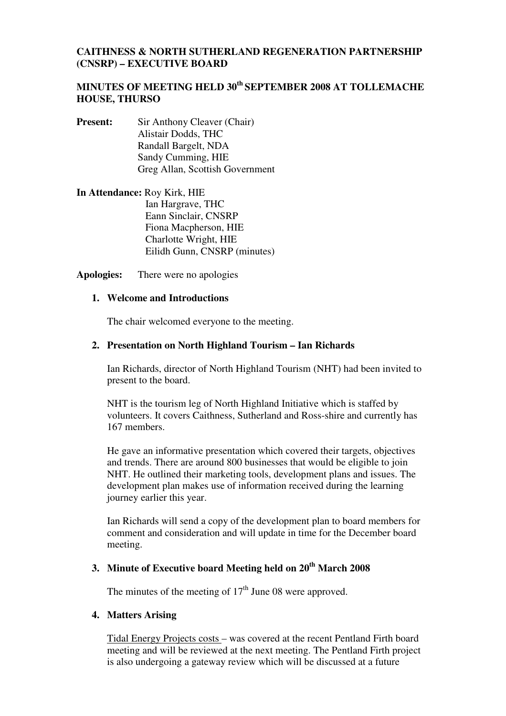### **CAITHNESS & NORTH SUTHERLAND REGENERATION PARTNERSHIP (CNSRP) – EXECUTIVE BOARD**

# **MINUTES OF MEETING HELD 30th SEPTEMBER 2008 AT TOLLEMACHE HOUSE, THURSO**

**Present:** Sir Anthony Cleaver (Chair) Alistair Dodds, THC Randall Bargelt, NDA Sandy Cumming, HIE Greg Allan, Scottish Government

**In Attendance:** Roy Kirk, HIE Ian Hargrave, THC Eann Sinclair, CNSRP Fiona Macpherson, HIE Charlotte Wright, HIE Eilidh Gunn, CNSRP (minutes)

**Apologies:** There were no apologies

#### **1. Welcome and Introductions**

The chair welcomed everyone to the meeting.

#### **2. Presentation on North Highland Tourism – Ian Richards**

Ian Richards, director of North Highland Tourism (NHT) had been invited to present to the board.

NHT is the tourism leg of North Highland Initiative which is staffed by volunteers. It covers Caithness, Sutherland and Ross-shire and currently has 167 members.

He gave an informative presentation which covered their targets, objectives and trends. There are around 800 businesses that would be eligible to join NHT. He outlined their marketing tools, development plans and issues. The development plan makes use of information received during the learning journey earlier this year.

Ian Richards will send a copy of the development plan to board members for comment and consideration and will update in time for the December board meeting.

## **3. Minute of Executive board Meeting held on 20th March 2008**

The minutes of the meeting of  $17<sup>th</sup>$  June 08 were approved.

#### **4. Matters Arising**

Tidal Energy Projects costs – was covered at the recent Pentland Firth board meeting and will be reviewed at the next meeting. The Pentland Firth project is also undergoing a gateway review which will be discussed at a future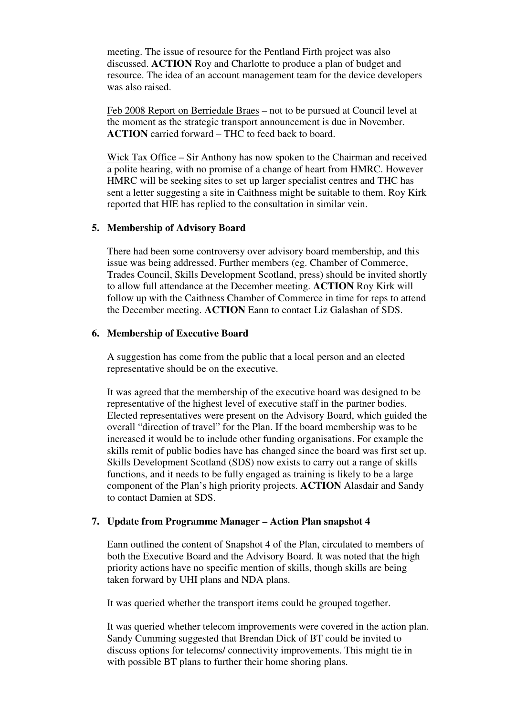meeting. The issue of resource for the Pentland Firth project was also discussed. **ACTION** Roy and Charlotte to produce a plan of budget and resource. The idea of an account management team for the device developers was also raised.

Feb 2008 Report on Berriedale Braes – not to be pursued at Council level at the moment as the strategic transport announcement is due in November. **ACTION** carried forward – THC to feed back to board.

Wick Tax Office – Sir Anthony has now spoken to the Chairman and received a polite hearing, with no promise of a change of heart from HMRC. However HMRC will be seeking sites to set up larger specialist centres and THC has sent a letter suggesting a site in Caithness might be suitable to them. Roy Kirk reported that HIE has replied to the consultation in similar vein.

#### **5. Membership of Advisory Board**

There had been some controversy over advisory board membership, and this issue was being addressed. Further members (eg. Chamber of Commerce, Trades Council, Skills Development Scotland, press) should be invited shortly to allow full attendance at the December meeting. **ACTION** Roy Kirk will follow up with the Caithness Chamber of Commerce in time for reps to attend the December meeting. **ACTION** Eann to contact Liz Galashan of SDS.

#### **6. Membership of Executive Board**

A suggestion has come from the public that a local person and an elected representative should be on the executive.

It was agreed that the membership of the executive board was designed to be representative of the highest level of executive staff in the partner bodies. Elected representatives were present on the Advisory Board, which guided the overall "direction of travel" for the Plan. If the board membership was to be increased it would be to include other funding organisations. For example the skills remit of public bodies have has changed since the board was first set up. Skills Development Scotland (SDS) now exists to carry out a range of skills functions, and it needs to be fully engaged as training is likely to be a large component of the Plan's high priority projects. **ACTION** Alasdair and Sandy to contact Damien at SDS.

#### **7. Update from Programme Manager – Action Plan snapshot 4**

Eann outlined the content of Snapshot 4 of the Plan, circulated to members of both the Executive Board and the Advisory Board. It was noted that the high priority actions have no specific mention of skills, though skills are being taken forward by UHI plans and NDA plans.

It was queried whether the transport items could be grouped together.

It was queried whether telecom improvements were covered in the action plan. Sandy Cumming suggested that Brendan Dick of BT could be invited to discuss options for telecoms/ connectivity improvements. This might tie in with possible BT plans to further their home shoring plans.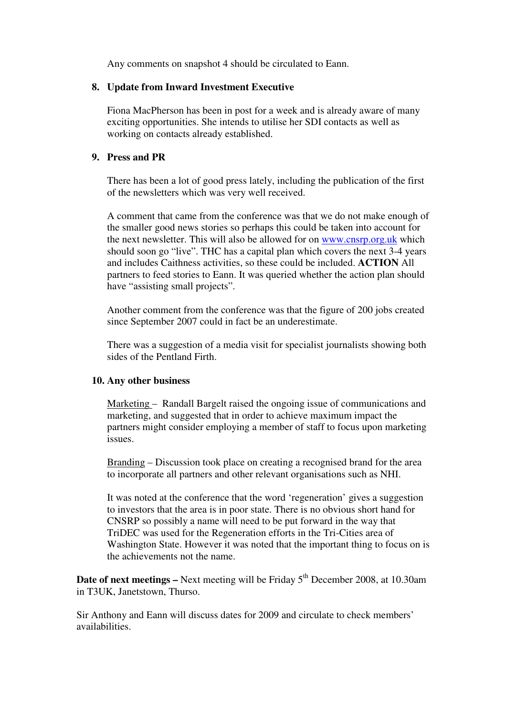Any comments on snapshot 4 should be circulated to Eann.

#### **8. Update from Inward Investment Executive**

Fiona MacPherson has been in post for a week and is already aware of many exciting opportunities. She intends to utilise her SDI contacts as well as working on contacts already established.

#### **9. Press and PR**

There has been a lot of good press lately, including the publication of the first of the newsletters which was very well received.

A comment that came from the conference was that we do not make enough of the smaller good news stories so perhaps this could be taken into account for the next newsletter. This will also be allowed for on www.cnsrp.org.uk which should soon go "live". THC has a capital plan which covers the next 3-4 years and includes Caithness activities, so these could be included. **ACTION** All partners to feed stories to Eann. It was queried whether the action plan should have "assisting small projects".

Another comment from the conference was that the figure of 200 jobs created since September 2007 could in fact be an underestimate.

There was a suggestion of a media visit for specialist journalists showing both sides of the Pentland Firth.

#### **10. Any other business**

Marketing – Randall Bargelt raised the ongoing issue of communications and marketing, and suggested that in order to achieve maximum impact the partners might consider employing a member of staff to focus upon marketing issues.

Branding – Discussion took place on creating a recognised brand for the area to incorporate all partners and other relevant organisations such as NHI.

It was noted at the conference that the word 'regeneration' gives a suggestion to investors that the area is in poor state. There is no obvious short hand for CNSRP so possibly a name will need to be put forward in the way that TriDEC was used for the Regeneration efforts in the Tri-Cities area of Washington State. However it was noted that the important thing to focus on is the achievements not the name.

**Date of next meetings –** Next meeting will be Friday 5<sup>th</sup> December 2008, at 10.30am in T3UK, Janetstown, Thurso.

Sir Anthony and Eann will discuss dates for 2009 and circulate to check members' availabilities.